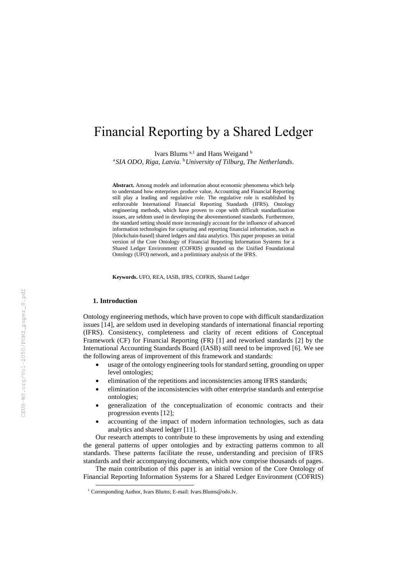# Financial Reporting by a Shared Ledger

Ivars Blums <sup>a,1</sup> and Hans Weigand b

<sup>a</sup>*SIA ODO, Riga, Latvia.*  <sup>b</sup>*University of Tilburg, The Netherlands.*

**Abstract.** Among models and information about economic phenomena which help to understand how enterprises produce value, Accounting and Financial Reporting still play a leading and regulative role. The regulative role is established by enforceable International Financial Reporting Standards (IFRS). Ontology engineering methods, which have proven to cope with difficult standardization issues, are seldom used in developing the abovementioned standards. Furthermore, the standard setting should more increasingly account for the influence of advanced information technologies for capturing and reporting financial information, such as [blockchain-based] shared ledgers and data analytics. This paper proposes an initial version of the Core Ontology of Financial Reporting Information Systems for a Shared Ledger Environment (COFRIS) grounded on the Unified Foundational Ontology (UFO) network, and a preliminary analysis of the IFRS.

**Keywords.** UFO, REA, IASB, IFRS, COFRIS, Shared Ledger

### **1. Introduction**

1

Ontology engineering methods, which have proven to cope with difficult standardization issues [14], are seldom used in developing standards of international financial reporting (IFRS). Consistency, completeness and clarity of recent editions of Conceptual Framework (CF) for Financial Reporting (FR) [1] and reworked standards [2] by the International Accounting Standards Board (IASB) still need to be improved [6]. We see the following areas of improvement of this framework and standards:

- usage of the ontology engineering tools for standard setting, grounding on upper level ontologies;
- elimination of the repetitions and inconsistencies among IFRS standards;
- elimination of the inconsistencies with other enterprise standards and enterprise ontologies;
- generalization of the conceptualization of economic contracts and their progression events [12];
- accounting of the impact of modern information technologies, such as data analytics and shared ledger [11].

Our research attempts to contribute to these improvements by using and extending the general patterns of upper ontologies and by extracting patterns common to all standards. These patterns facilitate the reuse, understanding and precision of IFRS standards and their accompanying documents, which now comprise thousands of pages.

The main contribution of this paper is an initial version of the Core Ontology of Financial Reporting Information Systems for a Shared Ledger Environment (COFRIS)

<sup>&</sup>lt;sup>1</sup> Corresponding Author, Ivars Blums; E-mail: Ivars.Blums@odo.lv.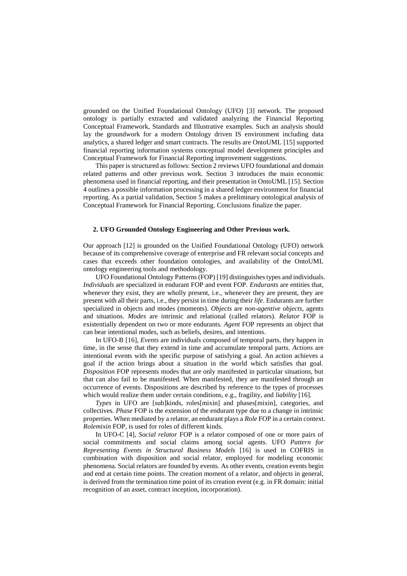grounded on the Unified Foundational Ontology (UFO) [3] network. The proposed ontology is partially extracted and validated analyzing the Financial Reporting Conceptual Framework, Standards and Illustrative examples. Such an analysis should lay the groundwork for a modern Ontology driven IS environment including data analytics, a shared ledger and smart contracts. The results are OntoUML [15] supported financial reporting information systems conceptual model development principles and Conceptual Framework for Financial Reporting improvement suggestions.

This paper is structured as follows: Section 2 reviews UFO foundational and domain related patterns and other previous work. Section 3 introduces the main economic phenomena used in financial reporting, and their presentation in OntoUML [15]. Section 4 outlines a possible information processing in a shared ledger environment for financial reporting. As a partial validation, Section 5 makes a preliminary ontological analysis of Conceptual Framework for Financial Reporting. Conclusions finalize the paper.

### **2. UFO Grounded Ontology Engineering and Other Previous work.**

Our approach [12] is grounded on the Unified Foundational Ontology (UFO) network because of its comprehensive coverage of enterprise and FR relevant social concepts and cases that exceeds other foundation ontologies, and availability of the OntoUML ontology engineering tools and methodology.

UFO Foundational Ontology Patterns (FOP) [19] distinguishes types and individuals. *Individuals* are specialized in endurant FOP and event FOP. *Endurants* are entities that, whenever they exist, they are wholly present, i.e., whenever they are present, they are present with all their parts, i.e., they persist in time during their *life*. Endurants are further specialized in objects and modes (moments). *Objects* are *non-agentive objects*, agents and situations. *Modes* are intrinsic and relational (called relators). *Relator* FOP is existentially dependent on two or more endurants. *Agent* FOP represents an object that can bear intentional modes, such as beliefs, desires, and intentions.

In UFO-B [16]*, Events* are individuals composed of temporal parts, they happen in time, in the sense that they extend in time and accumulate temporal parts. *Actions* are intentional events with the specific purpose of satisfying a goal. An action achieves a goal if the action brings about a situation in the world which satisfies that goal. *Disposition* FOP represents modes that are only manifested in particular situations, but that can also fail to be manifested. When manifested, they are manifested through an occurrence of events. Dispositions are described by reference to the types of processes which would realize them under certain conditions, e.g., fragility, and *liability* [16].

*Types* in UFO are [sub]kinds, roles[mixin] and phases[mixin], categories, and collectives. *Phase* FOP is the extension of the endurant type due to a change in intrinsic properties. When mediated by a relator, an endurant plays a *Role* FOP in a certain context. *Rolemixin* FOP, is used for roles of different kinds.

In UFO-C [4], *Social relator* FOP is a relator composed of one or more pairs of social commitments and social claims among social agents. UFO *Pattern for Representing Events in Structural Business Models* [16] is used in COFRIS in combination with disposition and social relator, employed for modeling economic phenomena. Social relators are founded by events. As other events, creation events begin and end at certain time points. The creation moment of a relator, and objects in general, is derived from the termination time point of its creation event (e.g. in FR domain: initial recognition of an asset, contract inception, incorporation).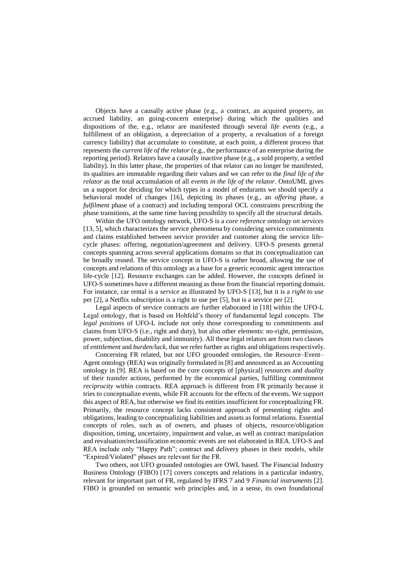Objects have a causally active phase (e.g., a contract, an acquired property, an accrued liability, an going-concern enterprise) during which the qualities and dispositions of the, e.g., relator are manifested through several *life events* (e.g., a fulfillment of an obligation, a depreciation of a property, a revaluation of a foreign currency liability) that accumulate to constitute, at each point, a different process that represents the *current life of the relator* (e.g., the performance of an enterprise during the reporting period). Relators have a causally inactive phase (e.g., a sold property, a settled liability). In this latter phase, the properties of that relator can no longer be manifested, its qualities are immutable regarding their values and we can refer to the *final life of the relator* as the total accumulation of all *events in the life of the relator*. OntoUML gives us a support for deciding for which types in a model of endurants we should specify a behavioral model of changes [16], depicting its phases (e.g., an *offering* phase, a *fulfilment* phase of a contract) and including temporal OCL constraints prescribing the phase transitions, at the same time having possibility to specify all the structural details.

Within the UFO ontology network, UFO-S is a *core reference ontology on services* [13, 5], which characterizes the service phenomena by considering service commitments and claims established between service provider and customer along the service lifecycle phases: offering, negotiation/agreement and delivery. UFO-S presents general concepts spanning across several applications domains so that its conceptualization can be broadly reused. The service concept in UFO-S is rather broad, allowing the use of concepts and relations of this ontology as a base for a generic economic agent interaction life-cycle [12]. Resource exchanges can be added. However, the concepts defined in UFO-S sometimes have a different meaning as those from the financial reporting domain. For instance, car rental is a *service* as illustrated by UFO-S [13], but it is a *right to use* per [2], a Netflix subscription is a right to use per [5], but is a service per [2].

Legal aspects of service contracts are further elaborated in [18] within the UFO-L Legal ontology, that is based on Hohfeld's theory of fundamental legal concepts. The *legal positions* of UFO-L include not only those corresponding to commitments and claims from UFO-S (i.e., right and duty), but also other elements: no-right, permission, power, subjection, disability and immunity). All these legal relators are from two classes of *entitlement* and *burden/lack*, that we refer further as rights and obligations respectively.

Concerning FR related, but not UFO grounded ontologies, the Resource–Event– Agent ontology (REA) was originally formulated in [8] and announced as an Accounting ontology in [9]. REA is based on the core concepts of [physical] resources and *duality* of their transfer actions, performed by the economical parties, fulfilling commitment *reciprocity* within contracts. REA approach is different from FR primarily because it tries to conceptualize events, while FR accounts for the effects of the events. We support this aspect of REA, but otherwise we find its entities insufficient for conceptualizing FR. Primarily, the resource concept lacks consistent approach of presenting rights and obligations, leading to conceptualizing liabilities and assets as formal relations. Essential concepts of roles, such as of owners, and phases of objects, resource/obligation disposition, timing, uncertainty, impairment and value, as well as contract manipulation and revaluation/reclassification economic events are not elaborated in REA. UFO-S and REA include only "Happy Path"; contract and delivery phases in their models, while "Expired/Violated" phases are relevant for the FR.

Two others, not UFO grounded ontologies are OWL based. The Financial Industry Business Ontology (FIBO) [17] covers concepts and relations in a particular industry, relevant for important part of FR, regulated by IFRS 7 and 9 *Financial instruments* [2]. FIBO is grounded on semantic web principles and, in a sense, its own foundational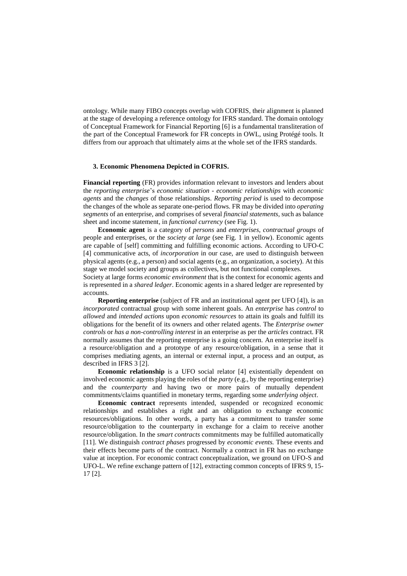ontology. While many FIBO concepts overlap with COFRIS, their alignment is planned at the stage of developing a reference ontology for IFRS standard. The domain ontology of Conceptual Framework for Financial Reporting [6] is a fundamental transliteration of the part of the Conceptual Framework for FR concepts in OWL, using Protégé tools. It differs from our approach that ultimately aims at the whole set of the IFRS standards.

## **3. Economic Phenomena Depicted in COFRIS.**

**Financial reporting** (FR) provides information relevant to investors and lenders about the *reporting enterprise*'s *economic situation* - *economic relationships* with *economic agents* and the *changes* of those relationships. *Reporting period* is used to decompose the changes of the whole as separate one-period flows. FR may be divided into *operating segments* of an enterprise, and comprises of several *financial statements,* such as balance sheet and income statement*,* in *functional currency* (see Fig. 1).

**Economic agent** is a category of *persons* and *enterprises*, *contractual groups* of people and enterprises, or the *society at large* (see Fig. 1 in yellow). Economic agents are capable of [self] committing and fulfilling economic actions. According to UFO-C [4] communicative acts, of *incorporation* in our case, are used to distinguish between physical agents (e.g., a person) and social agents (e.g., an organization, a society). At this stage we model society and groups as collectives, but not functional complexes.

Society at large forms *economic environment* that is the context for economic agents and is represented in a *shared ledger*. Economic agents in a shared ledger are represented by accounts.

**Reporting enterprise** (subject of FR and an institutional agent per UFO [4]), is an *incorporated* contractual group with some inherent goals. An *enterprise* has *control* to *allowed* and *intended actions* upon *economic resources* to attain its goals and fulfill its obligations for the benefit of its owners and other related agents. The *Enterprise owner controls* or *has a non-controlling interest* in an enterprise as per the *articles* contract. FR normally assumes that the reporting enterprise is a going concern. An enterprise itself is a resource/obligation and a prototype of any resource/obligation, in a sense that it comprises mediating agents, an internal or external input, a process and an output, as described in IFRS 3 [2].

**Economic relationship** is a UFO social relator [4] existentially dependent on involved economic agents playing the roles of the *party* (e.g., by the reporting enterprise) and the *counterparty* and having two or more pairs of mutually dependent commitments/claims quantified in monetary terms, regarding some *underlying object*.

**Economic contract** represents intended, suspended or recognized economic relationships and establishes a right and an obligation to exchange economic resources/obligations. In other words, a party has a commitment to transfer some resource/obligation to the counterparty in exchange for a claim to receive another resource/obligation. In the *smart contracts* commitments may be fulfilled automatically [11]. We distinguish *contract phases* progressed by *economic events.* These events and their effects become parts of the contract. Normally a contract in FR has no exchange value at inception. For economic contract conceptualization, we ground on UFO-S and UFO-L. We refine exchange pattern of [12], extracting common concepts of IFRS 9, 15- 17 [2].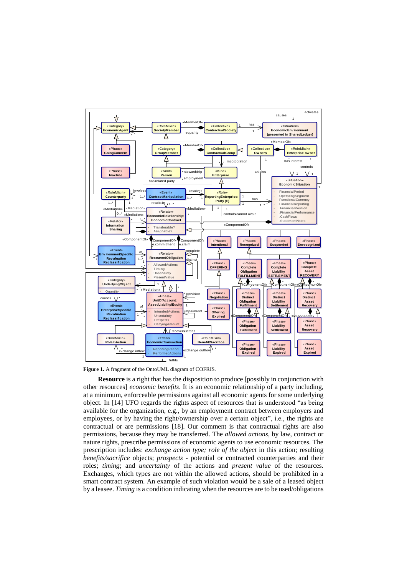

**Figure 1.** A fragment of the OntoUML diagram of COFRIS.

**Resource** is a right that has the disposition to produce [possibly in conjunction with other resources] *economic benefits*. It is an economic relationship of a party including, at a minimum, enforceable permissions against all economic agents for some underlying object. In [14] UFO regards the rights aspect of resources that is understood "as being available for the organization, e.g., by an employment contract between employers and employees, or by having the right/ownership over a certain object", i.e., the rights are contractual or are permissions [18]. Our comment is that contractual rights are also permissions, because they may be transferred. The *allowed actions,* by law, contract or nature rights, prescribe permissions of economic agents to use economic resources. The prescription includes: *exchange action type; role of the object* in this action; resulting *benefits/sacrifice* objects; *prospects* - potential or contracted counterparties and their roles; *timing*; and *uncertainty* of the actions and *present value* of the resources. Exchanges, which types are not within the allowed actions, should be prohibited in a smart contract system. An example of such violation would be a sale of a leased object by a leasee. *Timing* is a condition indicating when the resources are to be used/obligations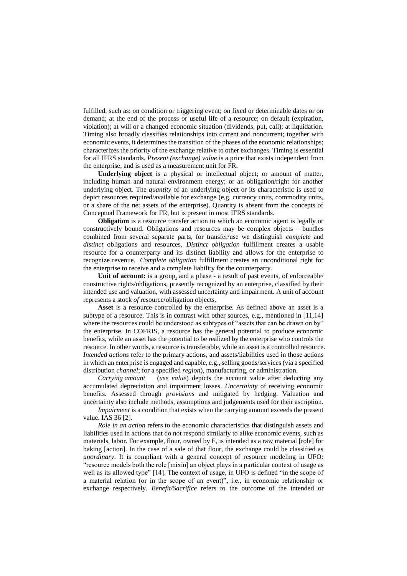fulfilled, such as: on condition or triggering event; on fixed or determinable dates or on demand; at the end of the process or useful life of a resource; on default (expiration, violation); at will or a changed economic situation (dividends, put, call); at liquidation. Timing also broadly classifies relationships into current and noncurrent; together with economic events, it determines the transition of the phases of the economic relationships; characterizes the priority of the exchange relative to other exchanges. Timing is essential for all IFRS standards. *Present (exchange) value* is a price that exists independent from the enterprise, and is used as a measurement unit for FR.

**Underlying object** is a physical or intellectual object; or amount of matter, including human and natural environment energy; or an obligation/right for another underlying object. The *quantity* of an underlying object or its characteristic is used to depict resources required/available for exchange (e.g. currency units, commodity units, or a share of the net assets of the enterprise). Quantity is absent from the concepts of Conceptual Framework for FR, but is present in most IFRS standards.

**Obligation** is a resource transfer action to which an economic agent is legally or constructively bound. Obligations and resources may be complex objects – bundles combined from several separate parts, for transfer/use we distinguish *complete* and *distinct* obligations and resources. *Distinct obligation* fulfillment creates a usable resource for a counterparty and its distinct liability and allows for the enterprise to recognize revenue. *Complete obligation* fulfillment creates an unconditional right for the enterprise to receive and a complete liability for the counterparty.

**Unit of account:** is a group, and a phase - a result of past events, of enforceable/ constructive rights/obligations, presently recognized by an enterprise, classified by their intended use and valuation, with assessed uncertainty and impairment. A unit of account represents a stock *of* resource/obligation objects.

**Asset** is a resource controlled by the enterprise. As defined above an asset is a subtype of a resource. This is in contrast with other sources, e.g., mentioned in [11,14] where the resources could be understood as subtypes of "assets that can be drawn on by" the enterprise. In COFRIS, a resource has the general potential to produce economic benefits, while an asset has the potential to be realized by the enterprise who controls the resource. In other words, a resource is transferable, while an asset is a controlled resource. *Intended actions* refer to the primary actions, and assets/liabilities used in those actions in which an enterprise is engaged and capable, e.g., selling goods/services (via a specified distribution *channel*; for a specified *region*), manufacturing, or administration.

*Carrying amount* (*use value*) depicts the account value after deducting any accumulated depreciation and impairment losses. *Uncertainty* of receiving economic benefits. Assessed through *provisions* and mitigated by hedging. Valuation and uncertainty also include methods, assumptions and judgements used for their ascription.

*Impairment* is a condition that exists when the carrying amount exceeds the present value. IAS 36 [2].

*Role in an action* refers to the economic characteristics that distinguish assets and liabilities used in actions that do not respond similarly to alike economic events, such as materials, labor. For example, flour, owned by E, is intended as a raw material [role] for baking [action]. In the case of a sale of that flour, the exchange could be classified as *unordinary*. It is compliant with a general concept of resource modeling in UFO: "resource models both the role [mixin] an object plays in a particular context of usage as well as its allowed type" [14]. The context of usage, in UFO is defined "in the scope of a material relation (or in the scope of an event)", i.e., in economic relationship or exchange respectively. *Benefit/Sacrifice* refers to the outcome of the intended or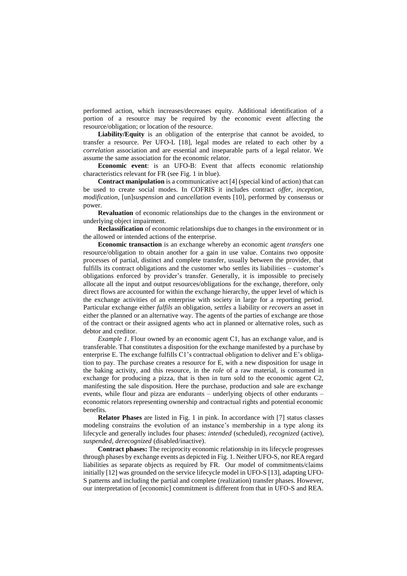performed action, which increases/decreases equity. Additional identification of a portion of a resource may be required by the economic event affecting the resource/obligation; or location of the resource.

**Liability/Equity** is an obligation of the enterprise that cannot be avoided, to transfer a resource. Per UFO-L [18], legal modes are related to each other by a *correlation* association and are essential and inseparable parts of a legal relator. We assume the same association for the economic relator.

**Economic event**: is an UFO-B: Event that affects economic relationship characteristics relevant for FR (see Fig. 1 in blue).

**Contract manipulation** is a communicative act [4] (special kind of action) that can be used to create social modes. In COFRIS it includes contract *offer*, *inception*, *modification*, [un]*suspension* and *cancellation* events [10], performed by consensus or power.

**Revaluation** of economic relationships due to the changes in the environment or underlying object impairment.

**Reclassification** of economic relationships due to changes in the environment or in the allowed or intended actions of the enterprise.

**Economic transaction** is an exchange whereby an economic agent *transfers* one resource/obligation to obtain another for a gain in use value. Contains two opposite processes of partial, distinct and complete transfer, usually between the provider, that fulfills its contract obligations and the customer who settles its liabilities – customer's obligations enforced by provider's transfer. Generally, it is impossible to precisely allocate all the input and output resources/obligations for the exchange, therefore, only direct flows are accounted for within the exchange hierarchy, the upper level of which is the exchange activities of an enterprise with society in large for a reporting period. Particular exchange either *fulfils* an obligation, *settles* a liability or *recovers* an asset in either the planned or an alternative way. The agents of the parties of exchange are those of the contract or their assigned agents who act in planned or alternative roles, such as debtor and creditor.

*Example 1*. Flour owned by an economic agent C1, has an exchange value, and is transferable. That constitutes a disposition for the exchange manifested by a purchase by enterprise E. The exchange fulfills C1's contractual obligation to deliver and E's obligation to pay. The purchase creates a resource for E, with a new disposition for usage in the baking activity, and this resource, in the *role* of a raw material, is consumed in exchange for producing a pizza, that is then in turn sold to the economic agent C2, manifesting the sale disposition. Here the purchase, production and sale are exchange events, while flour and pizza are endurants – underlying objects of other endurants – economic relators representing ownership and contractual rights and potential economic benefits.

**Relator Phases** are listed in Fig. 1 in pink. In accordance with [7] status classes modeling constrains the evolution of an instance's membership in a type along its lifecycle and generally includes four phases: *intended* (scheduled), *recognized* (active), *suspended*, *derecognized* (disabled/inactive).

**Contract phases:** The reciprocity economic relationship in its lifecycle progresses through phases by exchange events as depicted in Fig. 1. Neither UFO-S, nor REA regard liabilities as separate objects as required by FR. Our model of commitments/claims initially [12] was grounded on the service lifecycle model in UFO-S [13], adapting UFO-S patterns and including the partial and complete (realization) transfer phases. However, our interpretation of [economic] commitment is different from that in UFO-S and REA.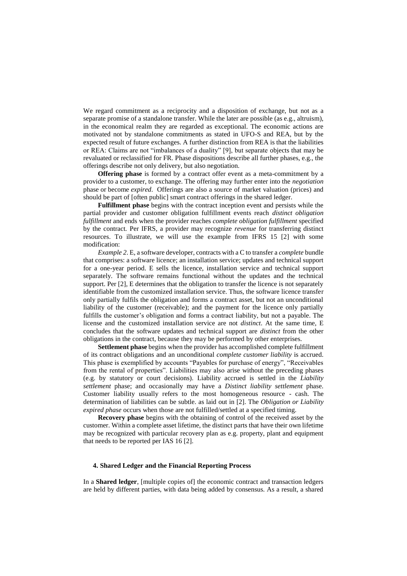We regard commitment as a reciprocity and a disposition of exchange, but not as a separate promise of a standalone transfer. While the later are possible (as e.g., altruism), in the economical realm they are regarded as exceptional. The economic actions are motivated not by standalone commitments as stated in UFO-S and REA, but by the expected result of future exchanges. A further distinction from REA is that the liabilities or REA: Claims are not "imbalances of a duality" [9], but separate objects that may be revaluated or reclassified for FR. Phase dispositions describe all further phases, e.g., the offerings describe not only delivery, but also negotiation.

**Offering phase** is formed by a contract offer event as a meta-commitment by a provider to a customer, to exchange. The offering may further enter into the *negotiation* phase or become *expired*. Offerings are also a source of market valuation (prices) and should be part of [often public] smart contract offerings in the shared ledger.

**Fulfillment phase** begins with the contract inception event and persists while the partial provider and customer obligation fulfillment events reach *distinct obligation fulfillment* and ends when the provider reaches *complete obligation fulfillment* specified by the contract*.* Per IFRS, a provider may recognize *revenue* for transferring distinct resources. To illustrate, we will use the example from IFRS 15 [2] with some modification:

*Example 2*. E, a software developer, contracts with a C to transfer a *complete* bundle that comprises: a software licence; an installation service; updates and technical support for a one-year period. E sells the licence, installation service and technical support separately. The software remains functional without the updates and the technical support. Per [2], E determines that the obligation to transfer the licence is not separately identifiable from the customized installation service. Thus, the software licence transfer only partially fulfils the obligation and forms a contract asset, but not an unconditional liability of the customer (receivable); and the payment for the licence only partially fulfills the customer's obligation and forms a contract liability, but not a payable. The license and the customized installation service are not *distinct*. At the same time, E concludes that the software updates and technical support are *distinct* from the other obligations in the contract, because they may be performed by other enterprises.

**Settlement phase** begins when the provider has accomplished complete fulfillment of its contract obligations and an unconditional *complete customer liability* is accrued. This phase is exemplified by accounts "Payables for purchase of energy", "Receivables from the rental of properties". Liabilities may also arise without the preceding phases (e.g. by statutory or court decisions). Liability accrued is settled in the *Liability settlement* phase; and occasionally may have a *Distinct liability settlement* phase. Customer liability usually refers to the most homogeneous resource - cash. The determination of liabilities can be subtle. as laid out in [2]. The *Obligation or Liability expired phase* occurs when those are not fulfilled/settled at a specified timing.

**Recovery phase** begins with the obtaining of control of the received asset by the customer. Within a complete asset lifetime, the distinct parts that have their own lifetime may be recognized with particular recovery plan as e.g. property, plant and equipment that needs to be reported per IAS 16 [2].

## **4. Shared Ledger and the Financial Reporting Process**

In a **Shared ledger**, [multiple copies of] the economic contract and transaction ledgers are held by different parties, with data being added by consensus. As a result, a shared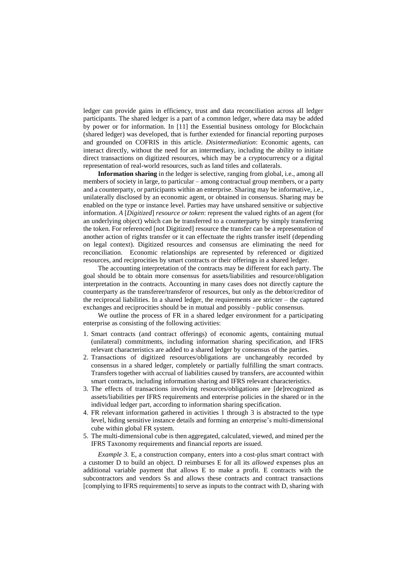ledger can provide gains in efficiency, trust and data reconciliation across all ledger participants. The shared ledger is a part of a common ledger, where data may be added by power or for information. In [11] the Essential business ontology for Blockchain (shared ledger) was developed, that is further extended for financial reporting purposes and grounded on COFRIS in this article. *Disintermediation*: Economic agents, can interact directly, without the need for an intermediary, including the ability to initiate direct transactions on digitized resources, which may be a cryptocurrency or a digital representation of real-world resources, such as land titles and collaterals.

**Information sharing** in the ledger is selective, ranging from global, i.e., among all members of society in large, to particular – among contractual group members, or a party and a counterparty, or participants within an enterprise. Sharing may be informative, i.e., unilaterally disclosed by an economic agent, or obtained in consensus. Sharing may be enabled on the type or instance level. Parties may have unshared sensitive or subjective information. *A* [*Digitized*] *resource or token*: represent the valued rights of an agent (for an underlying object) which can be transferred to a counterparty by simply transferring the token. For referenced [not Digitized] resource the transfer can be a representation of another action of rights transfer or it can effectuate the rights transfer itself (depending on legal context). Digitized resources and consensus are eliminating the need for reconciliation. Economic relationships are represented by referenced or digitized resources, and reciprocities by smart contracts or their offerings in a shared ledger.

The accounting interpretation of the contracts may be different for each party. The goal should be to obtain more consensus for assets/liabilities and resource/obligation interpretation in the contracts. Accounting in many cases does not directly capture the counterparty as the transferee/transferor of resources, but only as the debtor/creditor of the reciprocal liabilities. In a shared ledger, the requirements are stricter – the captured exchanges and reciprocities should be in mutual and possibly - public consensus.

We outline the process of FR in a shared ledger environment for a participating enterprise as consisting of the following activities:

- 1. Smart contracts (and contract offerings) of economic agents, containing mutual (unilateral) commitments, including information sharing specification, and IFRS relevant characteristics are added to a shared ledger by consensus of the parties.
- 2. Transactions of digitized resources/obligations are unchangeably recorded by consensus in a shared ledger, completely or partially fulfilling the smart contracts. Transfers together with accrual of liabilities caused by transfers, are accounted within smart contracts, including information sharing and IFRS relevant characteristics.
- 3. The effects of transactions involving resources/obligations are [de]recognized as assets/liabilities per IFRS requirements and enterprise policies in the shared or in the individual ledger part, according to information sharing specification.
- 4. FR relevant information gathered in activities 1 through 3 is abstracted to the type level, hiding sensitive instance details and forming an enterprise's multi-dimensional cube within global FR system.
- 5. The multi-dimensional cube is then aggregated, calculated, viewed, and mined per the IFRS Taxonomy requirements and financial reports are issued.

*Example 3.* E, a construction company, enters into a cost-plus smart contract with a customer D to build an object. D reimburses E for all its *allowed* expenses plus an additional variable payment that allows E to make a profit. E contracts with the subcontractors and vendors Ss and allows these contracts and contract transactions [complying to IFRS requirements] to serve as inputs to the contract with D, sharing with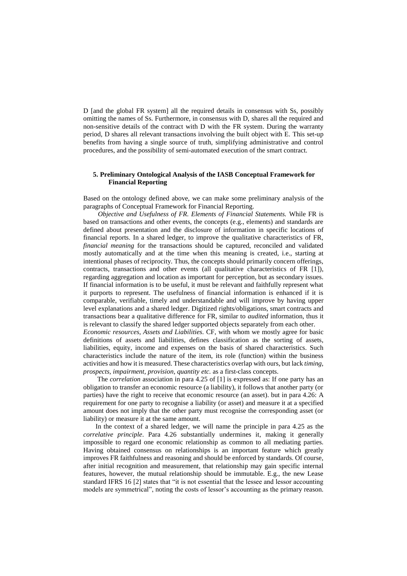D [and the global FR system] all the required details in consensus with Ss, possibly omitting the names of Ss. Furthermore, in consensus with D, shares all the required and non-sensitive details of the contract with D with the FR system. During the warranty period, D shares all relevant transactions involving the built object with E. This set-up benefits from having a single source of truth, simplifying administrative and control procedures, and the possibility of semi-automated execution of the smart contract.

# **5. Preliminary Ontological Analysis of the IASB Conceptual Framework for Financial Reporting**

Based on the ontology defined above, we can make some preliminary analysis of the paragraphs of Conceptual Framework for Financial Reporting.

*Objective and Usefulness of FR. Elements of Financial Statements.* While FR is based on transactions and other events, the concepts (e.g., elements) and standards are defined about presentation and the disclosure of information in specific locations of financial reports. In a shared ledger, to improve the qualitative characteristics of FR, *financial meaning* for the transactions should be captured, reconciled and validated mostly automatically and at the time when this meaning is created, i.e., starting at intentional phases of reciprocity. Thus, the concepts should primarily concern offerings, contracts, transactions and other events (all qualitative characteristics of FR [1]), regarding aggregation and location as important for perception, but as secondary issues. If financial information is to be useful, it must be relevant and faithfully represent what it purports to represent. The usefulness of financial information is enhanced if it is comparable, verifiable, timely and understandable and will improve by having upper level explanations and a shared ledger. Digitized rights/obligations, smart contracts and transactions bear a qualitative difference for FR, similar to *audited* information, thus it is relevant to classify the shared ledger supported objects separately from each other. *Economic resources, Assets and Liabilities.* CF, with whom we mostly agree for basic definitions of assets and liabilities, defines classification as the sorting of assets,

liabilities, equity, income and expenses on the basis of shared characteristics. Such characteristics include the nature of the item, its role (function) within the business activities and how it is measured. These characteristics overlap with ours, but lack *timing*, *prospects, impairment, provision, quantity etc.* as a first-class concepts.

The *correlation* association in para 4.25 of [1] is expressed as: If one party has an obligation to transfer an economic resource (a liability), it follows that another party (or parties) have the right to receive that economic resource (an asset). but in para 4.26: A requirement for one party to recognise a liability (or asset) and measure it at a specified amount does not imply that the other party must recognise the corresponding asset (or liability) or measure it at the same amount.

In the context of a shared ledger, we will name the principle in para 4.25 as the *correlative principle*. Para 4.26 substantially undermines it, making it generally impossible to regard one economic relationship as common to all mediating parties. Having obtained consensus on relationships is an important feature which greatly improves FR faithfulness and reasoning and should be enforced by standards. Of course, after initial recognition and measurement, that relationship may gain specific internal features, however, the mutual relationship should be immutable. E.g., the new Lease standard IFRS 16 [2] states that "it is not essential that the lessee and lessor accounting models are symmetrical", noting the costs of lessor's accounting as the primary reason.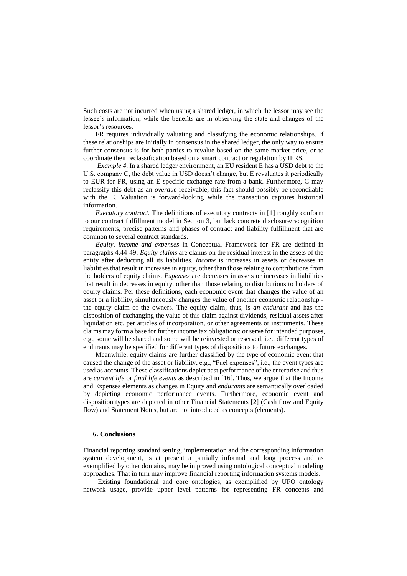Such costs are not incurred when using a shared ledger, in which the lessor may see the lessee's information, while the benefits are in observing the state and changes of the lessor's resources.

FR requires individually valuating and classifying the economic relationships. If these relationships are initially in consensus in the shared ledger, the only way to ensure further consensus is for both parties to revalue based on the same market price, or to coordinate their reclassification based on a smart contract or regulation by IFRS.

*Example 4*. In a shared ledger environment, an EU resident E has a USD debt to the U.S. company C, the debt value in USD doesn't change, but E revaluates it periodically to EUR for FR, using an E specific exchange rate from a bank. Furthermore, C may reclassify this debt as an *overdue* receivable, this fact should possibly be reconcilable with the E. Valuation is forward-looking while the transaction captures historical information.

*Executory contract.* The definitions of executory contracts in [1] roughly conform to our contract fulfillment model in Section 3, but lack concrete disclosure/recognition requirements, precise patterns and phases of contract and liability fulfillment that are common to several contract standards.

*Equity, income and expenses* in Conceptual Framework for FR are defined in paragraphs 4.44-49: *Equity claims* are claims on the residual interest in the assets of the entity after deducting all its liabilities. *Income* is increases in assets or decreases in liabilities that result in increases in equity, other than those relating to contributions from the holders of equity claims. *Expenses* are decreases in assets or increases in liabilities that result in decreases in equity, other than those relating to distributions to holders of equity claims. Per these definitions, each economic event that changes the value of an asset or a liability, simultaneously changes the value of another economic relationship the equity claim of the owners. The equity claim, thus, is *an endurant* and has the disposition of exchanging the value of this claim against dividends, residual assets after liquidation etc. per articles of incorporation, or other agreements or instruments. These claims may form a base for further income tax obligations; or serve for intended purposes, e.g., some will be shared and some will be reinvested or reserved, i.e., different types of endurants may be specified for different types of dispositions to future exchanges.

Meanwhile, equity claims are further classified by the type of economic event that caused the change of the asset or liability, e.g., "Fuel expenses", i.e., the event types are used as accounts. These classifications depict past performance of the enterprise and thus are *current life* or *final life events* as described in [16]. Thus, we argue that the Income and Expenses elements as changes in Equity and *endurants* are semantically overloaded by depicting economic performance events. Furthermore, economic event and disposition types are depicted in other Financial Statements [2] (Cash flow and Equity flow) and Statement Notes, but are not introduced as concepts (elements).

# **6. Conclusions**

Financial reporting standard setting, implementation and the corresponding information system development, is at present a partially informal and long process and as exemplified by other domains, may be improved using ontological conceptual modeling approaches. That in turn may improve financial reporting information systems models.

Existing foundational and core ontologies, as exemplified by UFO ontology network usage, provide upper level patterns for representing FR concepts and